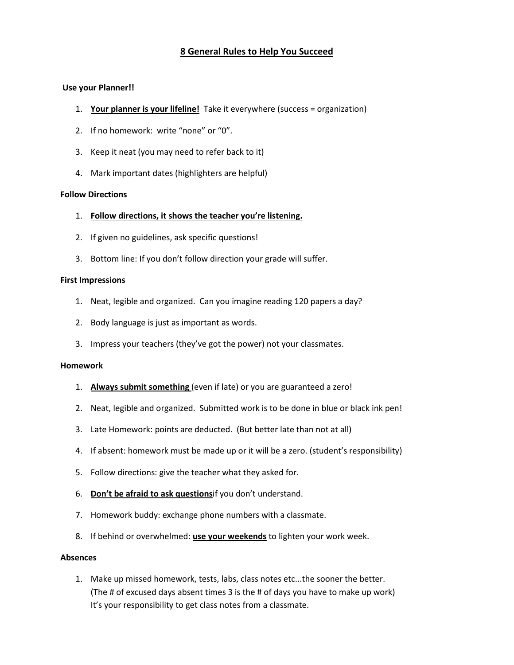# **8 General Rules to Help You Succeed**

# **Use your Planner!!**

- 1. **Your planner is your lifeline!** Take it everywhere (success = organization)
- 2. If no homework: write "none" or "0".
- 3. Keep it neat (you may need to refer back to it)
- 4. Mark important dates (highlighters are helpful)

## **Follow Directions**

- 1. **Follow directions, it shows the teacher you're listening.**
- 2. If given no guidelines, ask specific questions!
- 3. Bottom line: If you don't follow direction your grade will suffer.

## **First Impressions**

- 1. Neat, legible and organized. Can you imagine reading 120 papers a day?
- 2. Body language is just as important as words.
- 3. Impress your teachers (they've got the power) not your classmates.

#### **Homework**

- 1. **Always submit something** (even if late) or you are guaranteed a zero!
- 2. Neat, legible and organized. Submitted work is to be done in blue or black ink pen!
- 3. Late Homework: points are deducted. (But better late than not at all)
- 4. If absent: homework must be made up or it will be a zero. (student's responsibility)
- 5. Follow directions: give the teacher what they asked for.
- 6. **Don't be afraid to ask questions**if you don't understand.
- 7. Homework buddy: exchange phone numbers with a classmate.
- 8. If behind or overwhelmed: **use your weekends** to lighten your work week.

#### **Absences**

1. Make up missed homework, tests, labs, class notes etc...the sooner the better. (The # of excused days absent times 3 is the # of days you have to make up work) It's your responsibility to get class notes from a classmate.